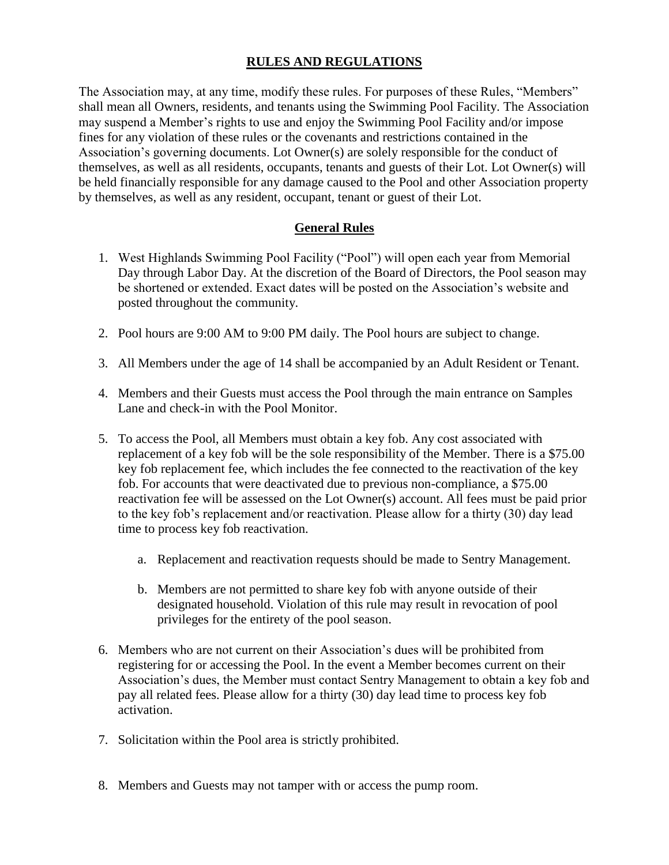## **RULES AND REGULATIONS**

The Association may, at any time, modify these rules. For purposes of these Rules, "Members" shall mean all Owners, residents, and tenants using the Swimming Pool Facility. The Association may suspend a Member's rights to use and enjoy the Swimming Pool Facility and/or impose fines for any violation of these rules or the covenants and restrictions contained in the Association's governing documents. Lot Owner(s) are solely responsible for the conduct of themselves, as well as all residents, occupants, tenants and guests of their Lot. Lot Owner(s) will be held financially responsible for any damage caused to the Pool and other Association property by themselves, as well as any resident, occupant, tenant or guest of their Lot.

## **General Rules**

- 1. West Highlands Swimming Pool Facility ("Pool") will open each year from Memorial Day through Labor Day. At the discretion of the Board of Directors, the Pool season may be shortened or extended. Exact dates will be posted on the Association's website and posted throughout the community.
- 2. Pool hours are 9:00 AM to 9:00 PM daily. The Pool hours are subject to change.
- 3. All Members under the age of 14 shall be accompanied by an Adult Resident or Tenant.
- 4. Members and their Guests must access the Pool through the main entrance on Samples Lane and check-in with the Pool Monitor.
- 5. To access the Pool, all Members must obtain a key fob. Any cost associated with replacement of a key fob will be the sole responsibility of the Member. There is a \$75.00 key fob replacement fee, which includes the fee connected to the reactivation of the key fob. For accounts that were deactivated due to previous non-compliance, a \$75.00 reactivation fee will be assessed on the Lot Owner(s) account. All fees must be paid prior to the key fob's replacement and/or reactivation. Please allow for a thirty (30) day lead time to process key fob reactivation.
	- a. Replacement and reactivation requests should be made to Sentry Management.
	- b. Members are not permitted to share key fob with anyone outside of their designated household. Violation of this rule may result in revocation of pool privileges for the entirety of the pool season.
- 6. Members who are not current on their Association's dues will be prohibited from registering for or accessing the Pool. In the event a Member becomes current on their Association's dues, the Member must contact Sentry Management to obtain a key fob and pay all related fees. Please allow for a thirty (30) day lead time to process key fob activation.
- 7. Solicitation within the Pool area is strictly prohibited.
- 8. Members and Guests may not tamper with or access the pump room.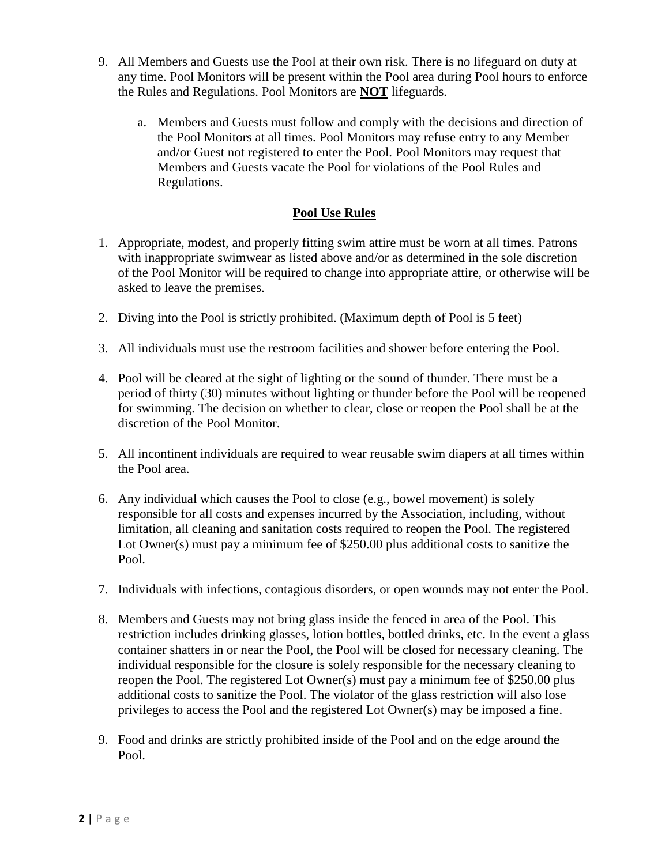- 9. All Members and Guests use the Pool at their own risk. There is no lifeguard on duty at any time. Pool Monitors will be present within the Pool area during Pool hours to enforce the Rules and Regulations. Pool Monitors are **NOT** lifeguards.
	- a. Members and Guests must follow and comply with the decisions and direction of the Pool Monitors at all times. Pool Monitors may refuse entry to any Member and/or Guest not registered to enter the Pool. Pool Monitors may request that Members and Guests vacate the Pool for violations of the Pool Rules and Regulations.

## **Pool Use Rules**

- 1. Appropriate, modest, and properly fitting swim attire must be worn at all times. Patrons with inappropriate swimwear as listed above and/or as determined in the sole discretion of the Pool Monitor will be required to change into appropriate attire, or otherwise will be asked to leave the premises.
- 2. Diving into the Pool is strictly prohibited. (Maximum depth of Pool is 5 feet)
- 3. All individuals must use the restroom facilities and shower before entering the Pool.
- 4. Pool will be cleared at the sight of lighting or the sound of thunder. There must be a period of thirty (30) minutes without lighting or thunder before the Pool will be reopened for swimming. The decision on whether to clear, close or reopen the Pool shall be at the discretion of the Pool Monitor.
- 5. All incontinent individuals are required to wear reusable swim diapers at all times within the Pool area.
- 6. Any individual which causes the Pool to close (e.g., bowel movement) is solely responsible for all costs and expenses incurred by the Association, including, without limitation, all cleaning and sanitation costs required to reopen the Pool. The registered Lot Owner(s) must pay a minimum fee of \$250.00 plus additional costs to sanitize the Pool.
- 7. Individuals with infections, contagious disorders, or open wounds may not enter the Pool.
- 8. Members and Guests may not bring glass inside the fenced in area of the Pool. This restriction includes drinking glasses, lotion bottles, bottled drinks, etc. In the event a glass container shatters in or near the Pool, the Pool will be closed for necessary cleaning. The individual responsible for the closure is solely responsible for the necessary cleaning to reopen the Pool. The registered Lot Owner(s) must pay a minimum fee of \$250.00 plus additional costs to sanitize the Pool. The violator of the glass restriction will also lose privileges to access the Pool and the registered Lot Owner(s) may be imposed a fine.
- 9. Food and drinks are strictly prohibited inside of the Pool and on the edge around the Pool.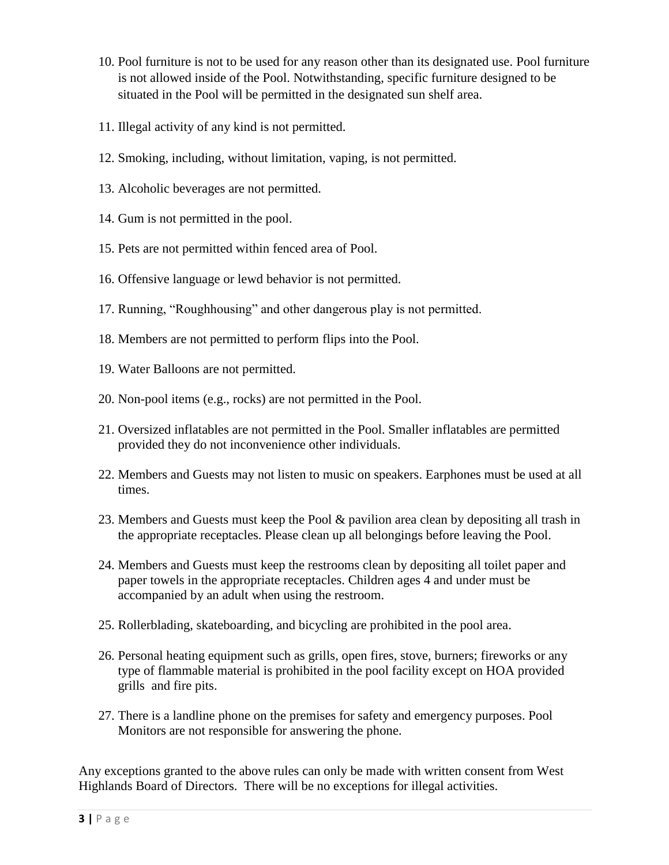- 10. Pool furniture is not to be used for any reason other than its designated use. Pool furniture is not allowed inside of the Pool. Notwithstanding, specific furniture designed to be situated in the Pool will be permitted in the designated sun shelf area.
- 11. Illegal activity of any kind is not permitted.
- 12. Smoking, including, without limitation, vaping, is not permitted.
- 13. Alcoholic beverages are not permitted.
- 14. Gum is not permitted in the pool.
- 15. Pets are not permitted within fenced area of Pool.
- 16. Offensive language or lewd behavior is not permitted.
- 17. Running, "Roughhousing" and other dangerous play is not permitted.
- 18. Members are not permitted to perform flips into the Pool.
- 19. Water Balloons are not permitted.
- 20. Non-pool items (e.g., rocks) are not permitted in the Pool.
- 21. Oversized inflatables are not permitted in the Pool. Smaller inflatables are permitted provided they do not inconvenience other individuals.
- 22. Members and Guests may not listen to music on speakers. Earphones must be used at all times.
- 23. Members and Guests must keep the Pool & pavilion area clean by depositing all trash in the appropriate receptacles. Please clean up all belongings before leaving the Pool.
- 24. Members and Guests must keep the restrooms clean by depositing all toilet paper and paper towels in the appropriate receptacles. Children ages 4 and under must be accompanied by an adult when using the restroom.
- 25. Rollerblading, skateboarding, and bicycling are prohibited in the pool area.
- 26. Personal heating equipment such as grills, open fires, stove, burners; fireworks or any type of flammable material is prohibited in the pool facility except on HOA provided grills and fire pits.
- 27. There is a landline phone on the premises for safety and emergency purposes. Pool Monitors are not responsible for answering the phone.

Any exceptions granted to the above rules can only be made with written consent from West Highlands Board of Directors. There will be no exceptions for illegal activities.